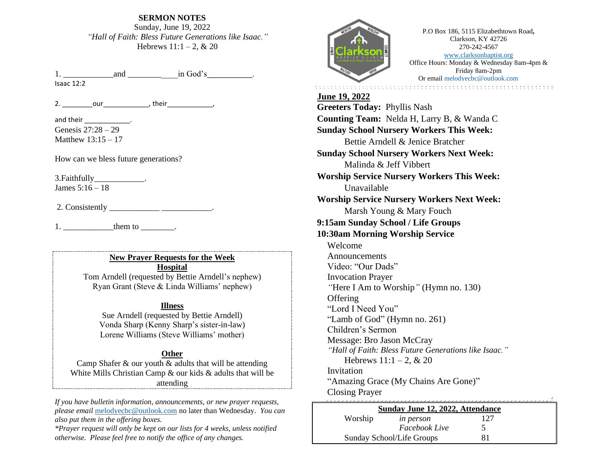**SERMON NOTES** Sunday, June 19, 2022 *"Hall of Faith: Bless Future Generations like Isaac."* Hebrews  $11:1 - 2$ , & 20

1.  $and$   $\qquad \qquad$  in God's  $\qquad \qquad$ . Isaac 12:2

2. our but their

and their \_\_\_\_\_\_\_\_\_\_\_\_\_. Genesis 27:28 – 29 Matthew 13:15 – 17

How can we bless future generations?

3.Faithfully\_\_\_\_\_\_\_\_\_\_\_\_. James 5:16 – 18

2. Consistently \_\_\_\_\_\_\_\_\_\_\_\_\_\_\_\_\_\_\_\_\_\_\_\_\_\_\_\_.

 $1.$   $\qquad \qquad \text{them to}$   $\qquad \qquad$ 

**New Prayer Requests for the Week Hospital**

Tom Arndell (requested by Bettie Arndell's nephew) Ryan Grant (Steve & Linda Williams' nephew)

#### **Illness**

Sue Arndell (requested by Bettie Arndell) Vonda Sharp (Kenny Sharp's sister-in-law) Lorene Williams (Steve Williams' mother)

#### **Other**

Camp Shafer  $\&$  our youth  $\&$  adults that will be attending White Mills Christian Camp & our kids & adults that will be attending

*If you have bulletin information, announcements, or new prayer requests, please email* [melodyecbc@outlook.com](mailto:melodyecbc@outlook.com) no later than Wednesday. *You can also put them in the offering boxes.*

*\*Prayer request will only be kept on our lists for 4 weeks, unless notified otherwise. Please feel free to notify the office of any changes.*



P.O Box 186, 5115 Elizabethtown Road**,**  Clarkson, KY 42726 270-242-4567 [www.clarksonbaptist.org](http://www.clarksonbaptist.org/) Office Hours: Monday & Wednesday 8am-4pm & Friday 8am-2pm Or emai[l melodyecbc@outlook.com](mailto:melodyecbc@outlook.com)

**June 19, 2022 Greeters Today:** Phyllis Nash **Counting Team:** Nelda H, Larry B, & Wanda C **Sunday School Nursery Workers This Week:**  Bettie Arndell & Jenice Bratcher **Sunday School Nursery Workers Next Week:**  Malinda & Jeff Vibbert **Worship Service Nursery Workers This Week:**  Unavailable **Worship Service Nursery Workers Next Week:** Marsh Young & Mary Fouch **9:15am Sunday School / Life Groups 10:30am Morning Worship Service** Welcome Announcements Video: "Our Dads" Invocation Prayer *"*Here I Am to Worship*"* (Hymn no. 130) **Offering** "Lord I Need You" "Lamb of God" (Hymn no. 261) Children's Sermon Message: Bro Jason McCray *"Hall of Faith: Bless Future Generations like Isaac."* Hebrews  $11:1 - 2$ , & 20 **Invitation** "Amazing Grace (My Chains Are Gone)" Closing Prayer

| Sunday June 12, 2022, Attendance |                  |  |  |
|----------------------------------|------------------|--|--|
| Worship                          | <i>in person</i> |  |  |
|                                  | Facebook Live    |  |  |
| Sunday School/Life Groups        |                  |  |  |